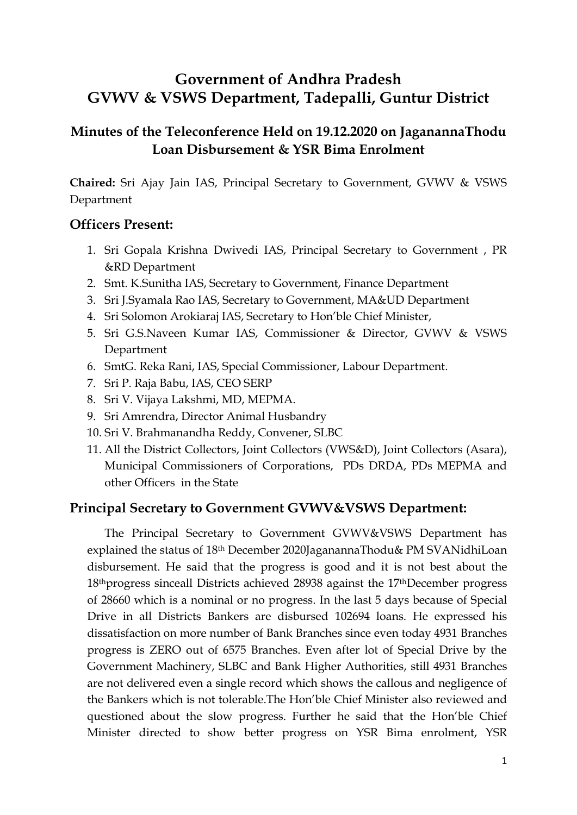# **Government of Andhra Pradesh GVWV & VSWS Department, Tadepalli, Guntur District**

## **Minutes of the Teleconference Held on 19.12.2020 on JaganannaThodu Loan Disbursement & YSR Bima Enrolment**

**Chaired:** Sri Ajay Jain IAS, Principal Secretary to Government, GVWV & VSWS Department

#### **Officers Present:**

- 1. Sri Gopala Krishna Dwivedi IAS, Principal Secretary to Government , PR &RD Department
- 2. Smt. K.Sunitha IAS, Secretary to Government, Finance Department
- 3. Sri J.Syamala Rao IAS, Secretary to Government, MA&UD Department
- 4. Sri Solomon Arokiaraj IAS, Secretary to Hon'ble Chief Minister,
- 5. Sri G.S.Naveen Kumar IAS, Commissioner & Director, GVWV & VSWS Department
- 6. SmtG. Reka Rani, IAS, Special Commissioner, Labour Department.
- 7. Sri P. Raja Babu, IAS, CEO SERP
- 8. Sri V. Vijaya Lakshmi, MD, MEPMA.
- 9. Sri Amrendra, Director Animal Husbandry
- 10. Sri V. Brahmanandha Reddy, Convener, SLBC
- 11. All the District Collectors, Joint Collectors (VWS&D), Joint Collectors (Asara), Municipal Commissioners of Corporations, PDs DRDA, PDs MEPMA and other Officers in the State

#### **Principal Secretary to Government GVWV&VSWS Department:**

The Principal Secretary to Government GVWV&VSWS Department has explained the status of 18th December 2020JaganannaThodu& PM SVANidhiLoan disbursement. He said that the progress is good and it is not best about the 18thprogress sinceall Districts achieved 28938 against the 17thDecember progress of 28660 which is a nominal or no progress. In the last 5 days because of Special Drive in all Districts Bankers are disbursed 102694 loans. He expressed his dissatisfaction on more number of Bank Branches since even today 4931 Branches progress is ZERO out of 6575 Branches. Even after lot of Special Drive by the Government Machinery, SLBC and Bank Higher Authorities, still 4931 Branches are not delivered even a single record which shows the callous and negligence of the Bankers which is not tolerable.The Hon'ble Chief Minister also reviewed and questioned about the slow progress. Further he said that the Hon'ble Chief Minister directed to show better progress on YSR Bima enrolment, YSR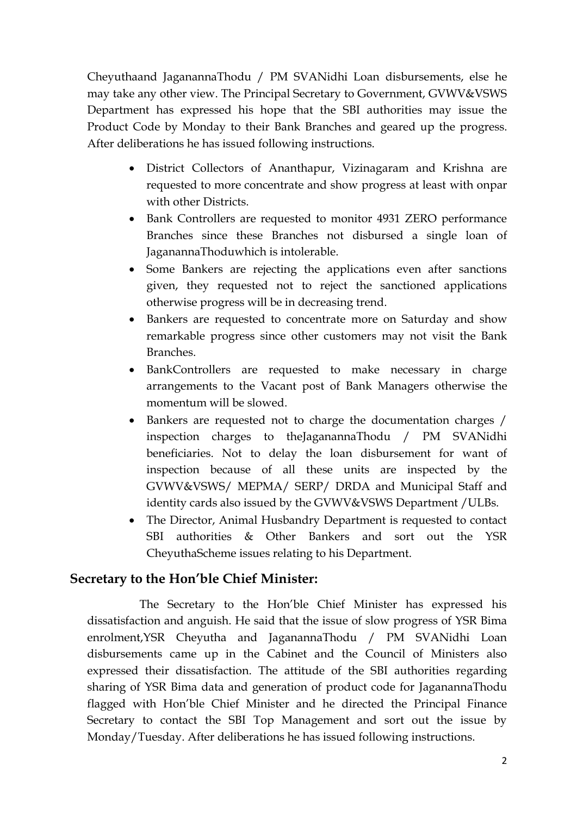Cheyuthaand JaganannaThodu / PM SVANidhi Loan disbursements, else he may take any other view. The Principal Secretary to Government, GVWV&VSWS Department has expressed his hope that the SBI authorities may issue the Product Code by Monday to their Bank Branches and geared up the progress. After deliberations he has issued following instructions.

- District Collectors of Ananthapur, Vizinagaram and Krishna are requested to more concentrate and show progress at least with onpar with other Districts.
- Bank Controllers are requested to monitor 4931 ZERO performance Branches since these Branches not disbursed a single loan of JaganannaThoduwhich is intolerable.
- Some Bankers are rejecting the applications even after sanctions given, they requested not to reject the sanctioned applications otherwise progress will be in decreasing trend.
- Bankers are requested to concentrate more on Saturday and show remarkable progress since other customers may not visit the Bank Branches.
- BankControllers are requested to make necessary in charge arrangements to the Vacant post of Bank Managers otherwise the momentum will be slowed.
- Bankers are requested not to charge the documentation charges / inspection charges to theJaganannaThodu / PM SVANidhi beneficiaries. Not to delay the loan disbursement for want of inspection because of all these units are inspected by the GVWV&VSWS/ MEPMA/ SERP/ DRDA and Municipal Staff and identity cards also issued by the GVWV&VSWS Department /ULBs.
- The Director, Animal Husbandry Department is requested to contact SBI authorities & Other Bankers and sort out the YSR CheyuthaScheme issues relating to his Department.

### **Secretary to the Hon'ble Chief Minister:**

The Secretary to the Hon'ble Chief Minister has expressed his dissatisfaction and anguish. He said that the issue of slow progress of YSR Bima enrolment,YSR Cheyutha and JaganannaThodu / PM SVANidhi Loan disbursements came up in the Cabinet and the Council of Ministers also expressed their dissatisfaction. The attitude of the SBI authorities regarding sharing of YSR Bima data and generation of product code for JaganannaThodu flagged with Hon'ble Chief Minister and he directed the Principal Finance Secretary to contact the SBI Top Management and sort out the issue by Monday/Tuesday. After deliberations he has issued following instructions.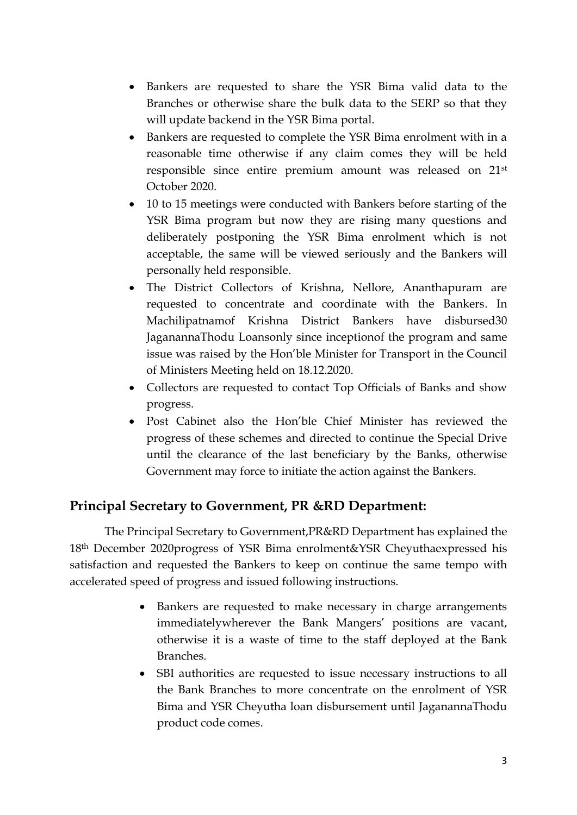- Bankers are requested to share the YSR Bima valid data to the Branches or otherwise share the bulk data to the SERP so that they will update backend in the YSR Bima portal.
- Bankers are requested to complete the YSR Bima enrolment with in a reasonable time otherwise if any claim comes they will be held responsible since entire premium amount was released on 21st October 2020.
- 10 to 15 meetings were conducted with Bankers before starting of the YSR Bima program but now they are rising many questions and deliberately postponing the YSR Bima enrolment which is not acceptable, the same will be viewed seriously and the Bankers will personally held responsible.
- The District Collectors of Krishna, Nellore, Ananthapuram are requested to concentrate and coordinate with the Bankers. In Machilipatnamof Krishna District Bankers have disbursed30 JaganannaThodu Loansonly since inceptionof the program and same issue was raised by the Hon'ble Minister for Transport in the Council of Ministers Meeting held on 18.12.2020.
- Collectors are requested to contact Top Officials of Banks and show progress.
- Post Cabinet also the Hon'ble Chief Minister has reviewed the progress of these schemes and directed to continue the Special Drive until the clearance of the last beneficiary by the Banks, otherwise Government may force to initiate the action against the Bankers.

### **Principal Secretary to Government, PR &RD Department:**

The Principal Secretary to Government,PR&RD Department has explained the 18th December 2020progress of YSR Bima enrolment&YSR Cheyuthaexpressed his satisfaction and requested the Bankers to keep on continue the same tempo with accelerated speed of progress and issued following instructions.

- Bankers are requested to make necessary in charge arrangements immediatelywherever the Bank Mangers' positions are vacant, otherwise it is a waste of time to the staff deployed at the Bank Branches.
- SBI authorities are requested to issue necessary instructions to all the Bank Branches to more concentrate on the enrolment of YSR Bima and YSR Cheyutha loan disbursement until JaganannaThodu product code comes.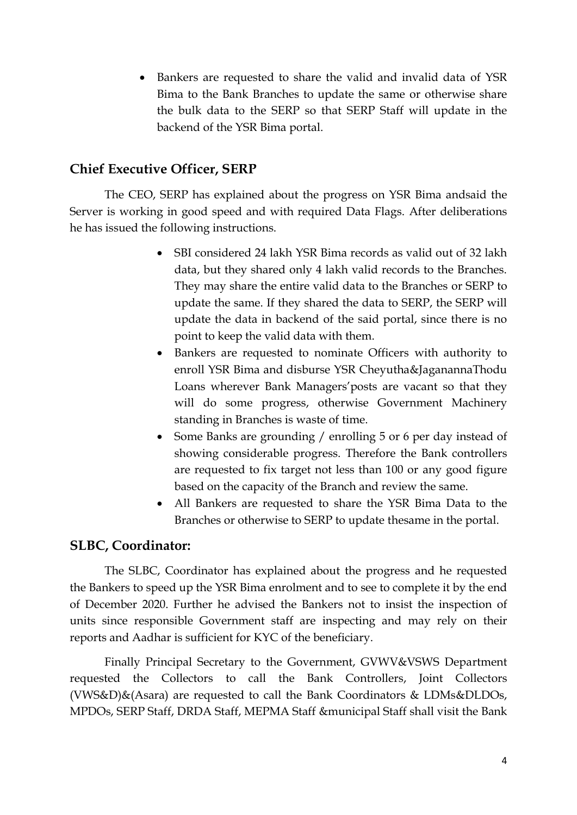• Bankers are requested to share the valid and invalid data of YSR Bima to the Bank Branches to update the same or otherwise share the bulk data to the SERP so that SERP Staff will update in the backend of the YSR Bima portal.

#### **Chief Executive Officer, SERP**

The CEO, SERP has explained about the progress on YSR Bima andsaid the Server is working in good speed and with required Data Flags. After deliberations he has issued the following instructions.

- SBI considered 24 lakh YSR Bima records as valid out of 32 lakh data, but they shared only 4 lakh valid records to the Branches. They may share the entire valid data to the Branches or SERP to update the same. If they shared the data to SERP, the SERP will update the data in backend of the said portal, since there is no point to keep the valid data with them.
- Bankers are requested to nominate Officers with authority to enroll YSR Bima and disburse YSR Cheyutha&JaganannaThodu Loans wherever Bank Managers'posts are vacant so that they will do some progress, otherwise Government Machinery standing in Branches is waste of time.
- Some Banks are grounding / enrolling 5 or 6 per day instead of showing considerable progress. Therefore the Bank controllers are requested to fix target not less than 100 or any good figure based on the capacity of the Branch and review the same.
- All Bankers are requested to share the YSR Bima Data to the Branches or otherwise to SERP to update thesame in the portal.

#### **SLBC, Coordinator:**

The SLBC, Coordinator has explained about the progress and he requested the Bankers to speed up the YSR Bima enrolment and to see to complete it by the end of December 2020. Further he advised the Bankers not to insist the inspection of units since responsible Government staff are inspecting and may rely on their reports and Aadhar is sufficient for KYC of the beneficiary.

Finally Principal Secretary to the Government, GVWV&VSWS Department requested the Collectors to call the Bank Controllers, Joint Collectors (VWS&D)&(Asara) are requested to call the Bank Coordinators & LDMs&DLDOs, MPDOs, SERP Staff, DRDA Staff, MEPMA Staff &municipal Staff shall visit the Bank